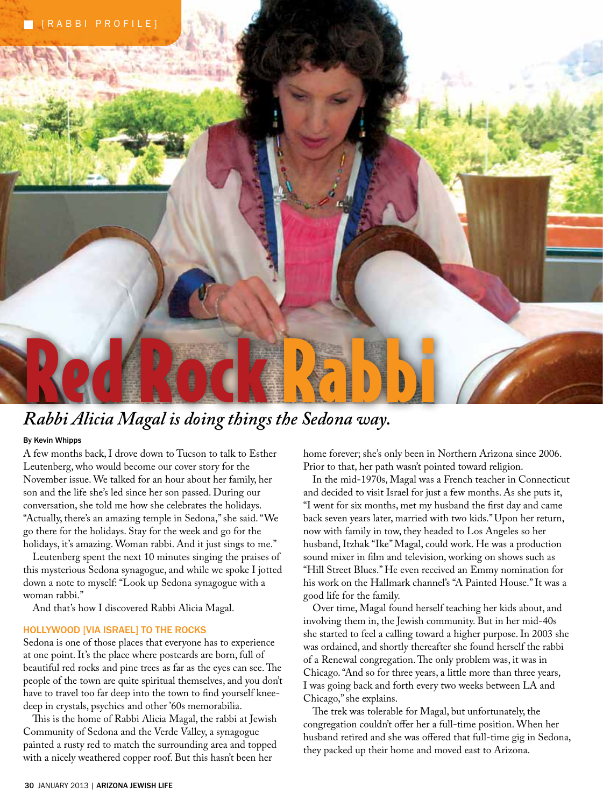

# *Rabbi Alicia Magal is doing things the Sedona way.*

### **By Kevin Whipps**

A few months back, I drove down to Tucson to talk to Esther Leutenberg, who would become our cover story for the November issue. We talked for an hour about her family, her son and the life she's led since her son passed. During our conversation, she told me how she celebrates the holidays. "Actually, there's an amazing temple in Sedona," she said. "We go there for the holidays. Stay for the week and go for the holidays, it's amazing. Woman rabbi. And it just sings to me."

Leutenberg spent the next 10 minutes singing the praises of this mysterious Sedona synagogue, and while we spoke I jotted down a note to myself: "Look up Sedona synagogue with a woman rabbi."

And that's how I discovered Rabbi Alicia Magal.

#### **Hollywood [via Israel] to the Rocks**

Sedona is one of those places that everyone has to experience at one point. It's the place where postcards are born, full of beautiful red rocks and pine trees as far as the eyes can see. The people of the town are quite spiritual themselves, and you don't have to travel too far deep into the town to find yourself kneedeep in crystals, psychics and other '60s memorabilia.

This is the home of Rabbi Alicia Magal, the rabbi at Jewish Community of Sedona and the Verde Valley, a synagogue painted a rusty red to match the surrounding area and topped with a nicely weathered copper roof. But this hasn't been her

home forever; she's only been in Northern Arizona since 2006. Prior to that, her path wasn't pointed toward religion.

In the mid-1970s, Magal was a French teacher in Connecticut and decided to visit Israel for just a few months. As she puts it, "I went for six months, met my husband the first day and came back seven years later, married with two kids." Upon her return, now with family in tow, they headed to Los Angeles so her husband, Itzhak "Ike" Magal, could work. He was a production sound mixer in film and television, working on shows such as "Hill Street Blues." He even received an Emmy nomination for his work on the Hallmark channel's "A Painted House." It was a good life for the family.

Over time, Magal found herself teaching her kids about, and involving them in, the Jewish community. But in her mid-40s she started to feel a calling toward a higher purpose. In 2003 she was ordained, and shortly thereafter she found herself the rabbi of a Renewal congregation. The only problem was, it was in Chicago. "And so for three years, a little more than three years, I was going back and forth every two weeks between LA and Chicago," she explains.

The trek was tolerable for Magal, but unfortunately, the congregation couldn't offer her a full-time position. When her husband retired and she was offered that full-time gig in Sedona, they packed up their home and moved east to Arizona.